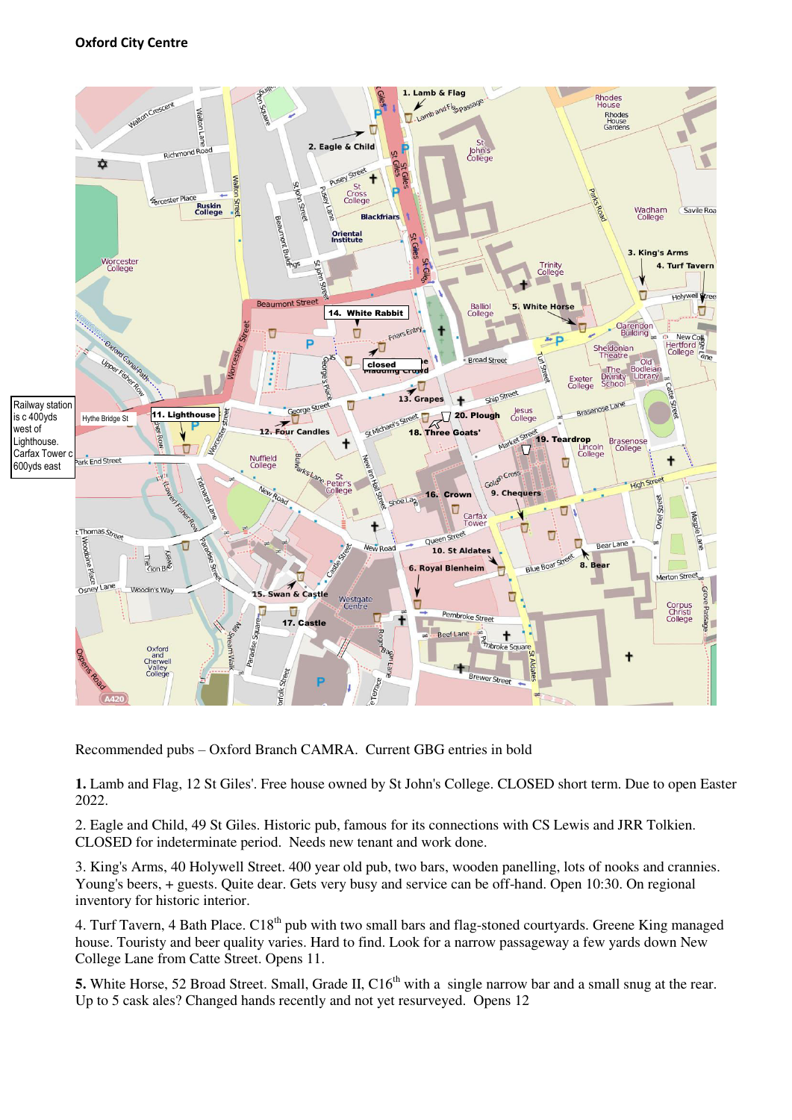

Recommended pubs – Oxford Branch CAMRA. Current GBG entries in bold

**1.** Lamb and Flag, 12 St Giles'. Free house owned by St John's College. CLOSED short term. Due to open Easter 2022.

2. Eagle and Child, 49 St Giles. Historic pub, famous for its connections with CS Lewis and JRR Tolkien. CLOSED for indeterminate period. Needs new tenant and work done.

3. King's Arms, 40 Holywell Street. 400 year old pub, two bars, wooden panelling, lots of nooks and crannies. Young's beers, + guests. Quite dear. Gets very busy and service can be off-hand. Open 10:30. On regional inventory for historic interior.

4. Turf Tavern, 4 Bath Place. C18<sup>th</sup> pub with two small bars and flag-stoned courtyards. Greene King managed house. Touristy and beer quality varies. Hard to find. Look for a narrow passageway a few yards down New College Lane from Catte Street. Opens 11.

**5.** White Horse, 52 Broad Street. Small, Grade II, C16<sup>th</sup> with a single narrow bar and a small snug at the rear. Up to 5 cask ales? Changed hands recently and not yet resurveyed. Opens 12